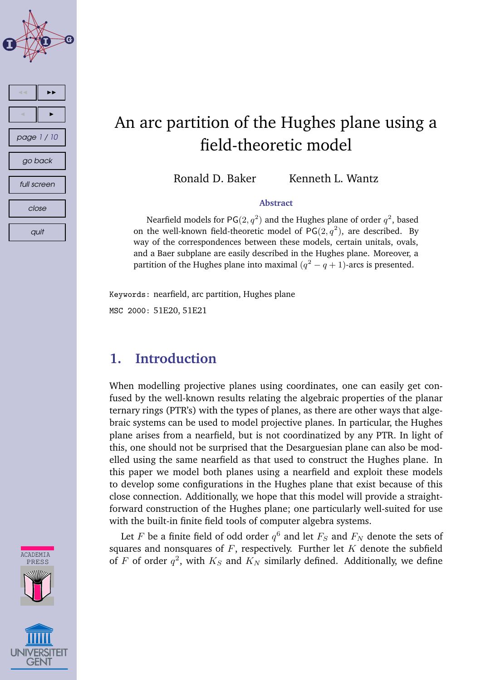

# An arc partition of the Hughes plane using a field-theoretic model

Ronald D. Baker Kenneth L. Wantz

#### **Abstract**

Nearfield models for PG $(2, q^2)$  and the Hughes plane of order  $q^2$ , based on the well-known field-theoretic model of PG(2, $q^2$ ), are described. By way of the correspondences between these models, certain unitals, ovals, and a Baer subplane are easily described in the Hughes plane. Moreover, a partition of the Hughes plane into maximal  $(q^2-q+1)$ -arcs is presented.

Keywords: nearfield, arc partition, Hughes plane MSC 2000: 51E20, 51E21

## **1. Introduction**

When modelling projective planes using coordinates, one can easily get confused by the well-known results relating the algebraic properties of the planar ternary rings (PTR's) with the types of planes, as there are other ways that algebraic systems can be used to model projective planes. In particular, the Hughes plane arises from a nearfield, but is not coordinatized by any PTR. In light of this, one should not be surprised that the Desarguesian plane can also be modelled using the same nearfield as that used to construct the Hughes plane. In this paper we model both planes using a nearfield and exploit these models to develop some configurations in the Hughes plane that exist because of this close connection. Additionally, we hope that this model will provide a straightforward construction of the Hughes plane; one particularly well-suited for use with the built-in finite field tools of computer algebra systems.

Let  $F$  be a finite field of odd order  $q^6$  and let  $F_S$  and  $F_N$  denote the sets of squares and nonsquares of  $F$ , respectively. Further let  $K$  denote the subfield of F of order  $q^2$ , with  $K_S$  and  $K_N$  similarly defined. Additionally, we define

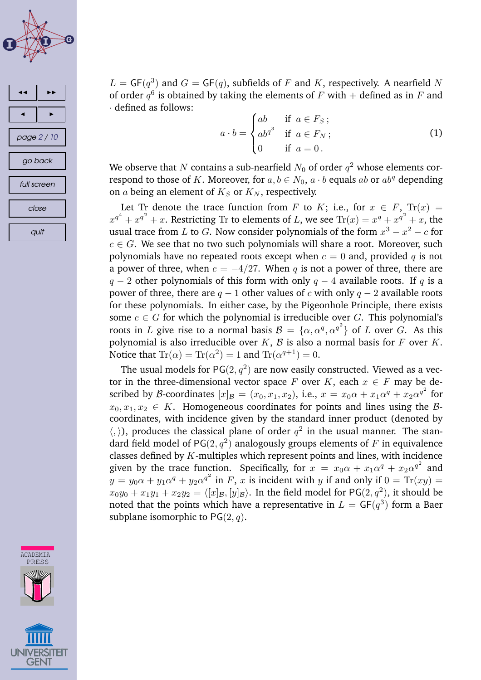<span id="page-1-0"></span>

quit

 $L = \mathsf{GF}(q^3)$  and  $G = \mathsf{GF}(q)$ , subfields of F and K, respectively. A nearfield N of order  $q^6$  is obtained by taking the elements of  $F$  with  $+$  defined as in  $F$  and · defined as follows:

$$
a \cdot b = \begin{cases} ab & \text{if } a \in F_S; \\ ab^{q^3} & \text{if } a \in F_N; \\ 0 & \text{if } a = 0. \end{cases}
$$
 (1)

We observe that  $N$  contains a sub-nearfield  $N_0$  of order  $q^2$  whose elements correspond to those of K. Moreover, for  $a, b \in N_0$ ,  $a \cdot b$  equals  $ab$  or  $ab^q$  depending on  $a$  being an element of  $K_S$  or  $K_N$ , respectively.

Let Tr denote the trace function from F to K; i.e., for  $x \in F$ ,  $Tr(x) =$  $x^{q^4}+x^{q^2}+x.$  Restricting Tr to elements of  $L$ , we see Tr $(x)=x^q+x^{q^2}+x,$  the usual trace from L to G. Now consider polynomials of the form  $x^3 - x^2 - c$  for  $c \in G$ . We see that no two such polynomials will share a root. Moreover, such polynomials have no repeated roots except when  $c = 0$  and, provided q is not a power of three, when  $c = -4/27$ . When q is not a power of three, there are  $q - 2$  other polynomials of this form with only  $q - 4$  available roots. If q is a power of three, there are  $q - 1$  other values of c with only  $q - 2$  available roots for these polynomials. In either case, by the Pigeonhole Principle, there exists some  $c \in G$  for which the polynomial is irreducible over G. This polynomial's roots in L give rise to a normal basis  $\mathcal{B} = {\alpha, \alpha^q, \alpha^{q^2}}$  of L over G. As this polynomial is also irreducible over  $K$ ,  $\beta$  is also a normal basis for  $F$  over  $K$ . Notice that  $\text{Tr}(\alpha) = \text{Tr}(\alpha^2) = 1$  and  $\text{Tr}(\alpha^{q+1}) = 0$ .

The usual models for PG $(2,q^2)$  are now easily constructed. Viewed as a vector in the three-dimensional vector space F over K, each  $x \in F$  may be described by B-coordinates  $[x]_B = (x_0, x_1, x_2)$ , i.e.,  $x = x_0\alpha + x_1\alpha^q + x_2\alpha^{q^2}$  for  $x_0, x_1, x_2 \in K$ . Homogeneous coordinates for points and lines using the Bcoordinates, with incidence given by the standard inner product (denoted by  $\langle , \rangle$ ), produces the classical plane of order  $q^2$  in the usual manner. The standard field model of PG $(2, q^2)$  analogously groups elements of  $F$  in equivalence classes defined by  $K$ -multiples which represent points and lines, with incidence given by the trace function. Specifically, for  $x = x_0\alpha + x_1\alpha^q + x_2\alpha^{q^2}$  and  $y = y_0 \alpha + y_1 \alpha^q + y_2 \alpha^{q^2}$  in  $F$ ,  $x$  is incident with  $y$  if and only if  $0 = \text{Tr}(xy) = 0$  $x_0y_0 + x_1y_1 + x_2y_2 = \langle [x]_{{\cal B}}, [y]_{{\cal B}} \rangle.$  In the field model for PG $(2, q^2)$ , it should be noted that the points which have a representative in  $L=\mathsf{GF}(q^3)$  form a Baer subplane isomorphic to  $PG(2, q)$ .

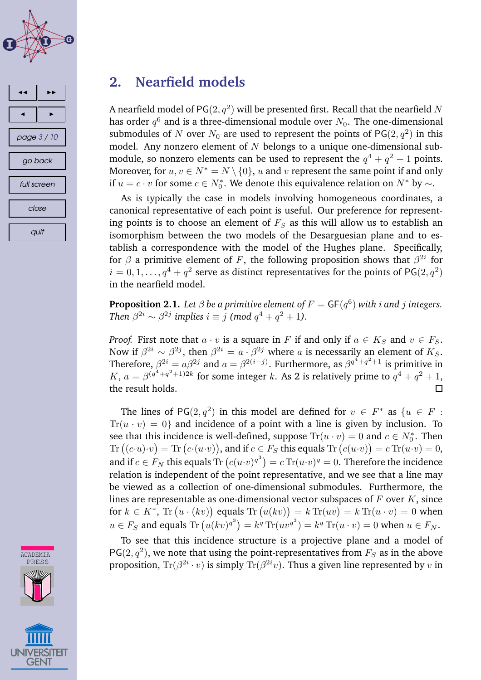<span id="page-2-0"></span>



# **2. Nearfield models**

A nearfield model of PG $(2,q^2)$  will be presented first. Recall that the nearfield  $N$ has order  $q^6$  and is a three-dimensional module over  $N_0.$  The one-dimensional submodules of  $N$  over  $N_0$  are used to represent the points of PG $(2,q^2)$  in this model. Any nonzero element of  $N$  belongs to a unique one-dimensional submodule, so nonzero elements can be used to represent the  $q^4 + q^2 + 1$  points. Moreover, for  $u, v \in N^* = N \setminus \{0\}$ , u and v represent the same point if and only if  $u = c \cdot v$  for some  $c \in N_0^*$ . We denote this equivalence relation on  $N^*$  by  $\sim$ .

As is typically the case in models involving homogeneous coordinates, a canonical representative of each point is useful. Our preference for representing points is to choose an element of  $F<sub>S</sub>$  as this will allow us to establish an isomorphism between the two models of the Desarguesian plane and to establish a correspondence with the model of the Hughes plane. Specifically, for  $\beta$  a primitive element of F, the following proposition shows that  $\beta^{2i}$  for  $i=0,1,\ldots,q^4+q^2$  serve as distinct representatives for the points of PG $(2,q^2)$ in the nearfield model.

**Proposition 2.1.** Let  $\beta$  be a primitive element of  $F = \mathsf{GF}(q^6)$  with  $i$  and  $j$  integers. *Then*  $\beta^{2i} \sim \beta^{2j}$  *implies*  $i \equiv j \pmod{q^4 + q^2 + 1}$ .

*Proof.* First note that  $a \cdot v$  is a square in F if and only if  $a \in K_S$  and  $v \in F_S$ . Now if  $\beta^{2i} \sim \beta^{2j}$ , then  $\beta^{2i} = a \cdot \beta^{2j}$  where a is necessarily an element of  $K_S$ . Therefore,  $\beta^{2i} = a\beta^{2j}$  and  $a = \beta^{2(i-j)}$ . Furthermore, as  $\beta^{q^4+q^2+1}$  is primitive in  $K, a = \beta^{(q^4+q^2+1)2k}$  for some integer k. As 2 is relatively prime to  $q^4+q^2+1$ , the result holds.  $\Box$ 

The lines of PG(2, $q^2$ ) in this model are defined for  $v \in F^*$  as  $\{u \in F :$  $Tr(u \cdot v) = 0$  and incidence of a point with a line is given by inclusion. To see that this incidence is well-defined, suppose  $\text{Tr}(u \cdot v) = 0$  and  $c \in N_0^*$ . Then Tr  $((c \cdot u) \cdot v) = \text{Tr}(c \cdot (u \cdot v))$ , and if  $c \in F_S$  this equals Tr  $(c(u \cdot v)) = c \text{Tr}(u \cdot v) = 0$ , and if  $c\in F_N$  this equals  $\text{Tr}\left(c(u\cdot v)^{q^3}\right)=c\, \text{Tr}(u\cdot v)^q=0.$  Therefore the incidence relation is independent of the point representative, and we see that a line may be viewed as a collection of one-dimensional submodules. Furthermore, the lines are representable as one-dimensional vector subspaces of  $F$  over  $K$ , since for  $k \in K^*$ , Tr  $(u \cdot (kv))$  equals Tr  $(u(kv)) = k$  Tr $(uv) = k$  Tr $(u \cdot v) = 0$  when  $u \in F_S$  and equals  $\text{Tr}\left(u(kv)^{q^3}\right) = k^q \text{Tr}(uv^{q^3}) = k^q \text{Tr}(u \cdot v) = 0$  when  $u \in F_N$ .

To see that this incidence structure is a projective plane and a model of PG(2,  $q^2$ ), we note that using the point-representatives from  $F_S$  as in the above proposition,  $\text{Tr}(\beta^{2i}\cdot v)$  is simply  $\text{Tr}(\beta^{2i}v)$ . Thus a given line represented by  $v$  in

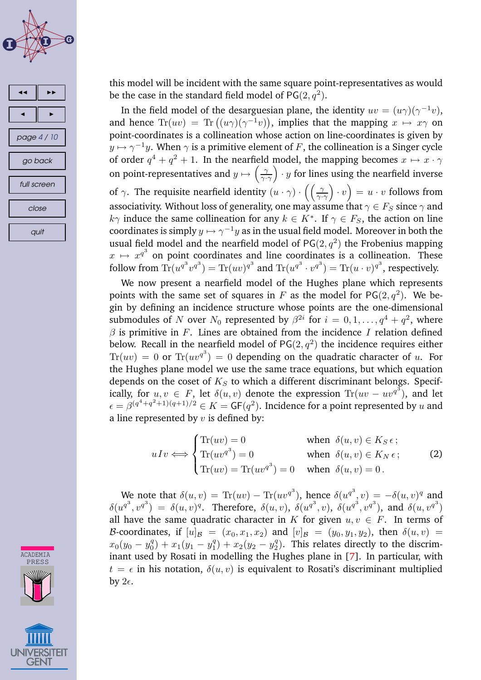<span id="page-3-0"></span>





this model will be incident with the same square point-representatives as would be the case in the standard field model of  $PG(2, q^2)$ .

In the field model of the desarguesian plane, the identity  $uv = (u\gamma)(\gamma^{-1}v)$ , and hence  $\text{Tr}(uv) = \text{Tr}((u\gamma)(\gamma^{-1}v))$ , implies that the mapping  $x \mapsto x\gamma$  on point-coordinates is a collineation whose action on line-coordinates is given by  $y \mapsto \gamma^{-1} y.$  When  $\gamma$  is a primitive element of  $F,$  the collineation is a Singer cycle of order  $q^4 + q^2 + 1$ . In the nearfield model, the mapping becomes  $x \mapsto x \cdot \gamma$ on point-representatives and  $y \mapsto \left(\frac{\gamma}{\gamma}\right)$  $\gamma \cdot \gamma$  $(v \cdot y)$  for lines using the nearfield inverse of  $\gamma$ . The requisite nearfield identity  $(u \cdot \gamma) \cdot ((\frac{\gamma}{\gamma})$  $\gamma \cdot \gamma$  $(v) \cdot v = u \cdot v$  follows from associativity. Without loss of generality, one may assume that  $\gamma \in F_S$  since  $\gamma$  and  $k\gamma$  induce the same collineation for any  $k \in K^*$ . If  $\gamma \in F_S$ , the action on line coordinates is simply  $y\mapsto \gamma^{-1}y$  as in the usual field model. Moreover in both the usual field model and the nearfield model of  $PG(2,q^2)$  the Frobenius mapping  $x \mapsto x^{q^3}$  on point coordinates and line coordinates is a collineation. These follow from  $\text{Tr}(u^{q^3}v^{q^3}) = \text{Tr}(uv)^{q^3}$  and  $\text{Tr}(u^{q^3} \cdot v^{q^3}) = \text{Tr}(u \cdot v)^{q^3}$ , respectively.

We now present a nearfield model of the Hughes plane which represents points with the same set of squares in F as the model for  $PG(2, q^2)$ . We begin by defining an incidence structure whose points are the one-dimensional submodules of  $N$  over  $N_0$  represented by  $\beta^{2i}$  for  $i=0,1,\ldots,q^4+q^2,$  where  $\beta$  is primitive in F. Lines are obtained from the incidence I relation defined below. Recall in the nearfield model of PG $(2,q^2)$  the incidence requires either  $\text{Tr}(uv)\,=\,0$  or  $\text{Tr}(uv^{q^3})\,=\,0$  depending on the quadratic character of  $u.$  For the Hughes plane model we use the same trace equations, but which equation depends on the coset of  $K_S$  to which a different discriminant belongs. Specifically, for  $u, v \in F$ , let  $\delta(u, v)$  denote the expression  $\text{Tr}(uv - uv^{q^3})$ , and let  $\epsilon = \beta^{(q^4+q^2+1)(q+1)/2} \in K = \mathsf{GF}(q^2).$  Incidence for a point represented by  $u$  and a line represented by  $v$  is defined by:

$$
uIv \iff \begin{cases} \text{Tr}(uv) = 0 & \text{when } \delta(u, v) \in K_S \epsilon \, ; \\ \text{Tr}(uv^{q^3}) = 0 & \text{when } \delta(u, v) \in K_N \epsilon \, ; \\ \text{Tr}(uv) = \text{Tr}(uv^{q^3}) = 0 & \text{when } \delta(u, v) = 0 \, . \end{cases} \tag{2}
$$

We note that  $\delta(u, v) = \text{Tr}(uv) - \text{Tr}(uv^{q^3})$ , hence  $\delta(u^{q^3}, v) = -\delta(u, v)^q$  and  $\delta(u^{q^3}, v^{q^3}) = \delta(u, v)^q$ . Therefore,  $\delta(u, v)$ ,  $\delta(u^{q^3}, v)$ ,  $\delta(u^{q^3}, v^{q^3})$ , and  $\delta(u, v^{q^3})$ all have the same quadratic character in K for given  $u, v \in F$ . In terms of B-coordinates, if  $[u]_B = (x_0, x_1, x_2)$  and  $[v]_B = (y_0, y_1, y_2)$ , then  $\delta(u, v)$  =  $x_0(y_0 - y_0^q)$  $\binom{q}{0} + x_1(y_1 - y_1^q)$  $y_1^q$  +  $x_2(y_2 - y_2^q)$  $2^q$ ). This relates directly to the discriminant used by Rosati in modelling the Hughes plane in [\[7\]](#page-9-0). In particular, with  $t = \epsilon$  in his notation,  $\delta(u, v)$  is equivalent to Rosati's discriminant multiplied by  $2\epsilon$ .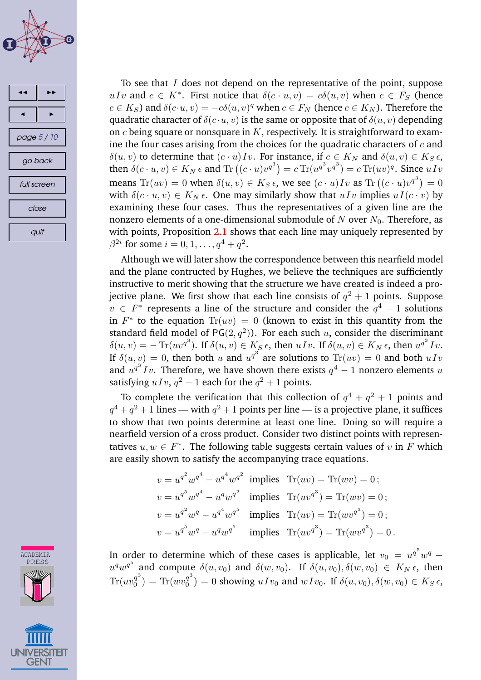



To see that  $I$  does not depend on the representative of the point, suppose uIv and  $c \in K^*$ . First notice that  $\delta(c \cdot u, v) = c\delta(u, v)$  when  $c \in F_S$  (hence  $c \in K_S$ ) and  $\delta(c \cdot u, v) = -c\delta(u, v)^q$  when  $c \in F_N$  (hence  $c \in K_N$ ). Therefore the quadratic character of  $\delta(c \cdot u, v)$  is the same or opposite that of  $\delta(u, v)$  depending on  $c$  being square or nonsquare in  $K$ , respectively. It is straightforward to examine the four cases arising from the choices for the quadratic characters of  $c$  and  $\delta(u, v)$  to determine that  $(c \cdot u)Iv$ . For instance, if  $c \in K_N$  and  $\delta(u, v) \in K_S \epsilon$ , then  $\delta(c \cdot u, v) \in K_N \epsilon$  and  $\text{Tr}\left((c \cdot u)v^{q^3}\right) = c \text{Tr}(u^{q^3}v^{q^3}) = c \text{Tr}(uv)^q$ . Since  $uIv$ means  $\text{Tr}(uv) = 0$  when  $\delta(u, v) \in K_S \epsilon$ , we see  $(c \cdot u)Iv$  as  $\text{Tr}((c \cdot u)v^{q^3}) = 0$ with  $\delta(c \cdot u, v) \in K_N \epsilon$ . One may similarly show that  $uIv$  implies  $uI(c \cdot v)$  by examining these four cases. Thus the representatives of a given line are the nonzero elements of a one-dimensional submodule of N over  $N_0$ . Therefore, as with points, Proposition [2.1](#page-2-0) shows that each line may uniquely represented by  $\beta^{2i}$  for some  $i=0,1,\ldots,q^4+q^2.$ 

Although we will later show the correspondence between this nearfield model and the plane contructed by Hughes, we believe the techniques are sufficiently instructive to merit showing that the structure we have created is indeed a projective plane. We first show that each line consists of  $q^2+1$  points. Suppose  $v \in F^*$  represents a line of the structure and consider the  $q^4-1$  solutions in  $F^*$  to the equation  $\text{Tr}(uv) = 0$  (known to exist in this quantity from the standard field model of PG $(2,q^2)$ ). For each such  $u$ , consider the discriminant  $\delta(u, v) = -\operatorname{Tr}(uv^{q^3})$ . If  $\delta(u, v) \in K_S \epsilon$ , then  $uIv$ . If  $\delta(u, v) \in K_N \epsilon$ , then  $u^{q^3}Iv$ . If  $\delta(u, v) = 0$ , then both u and  $u^{q^3}$  are solutions to  $\text{Tr}(uv) = 0$  and both  $uIv$ and  $u^{q^3}Iv$ . Therefore, we have shown there exists  $q^4-1$  nonzero elements u satisfying  $uIv$ ,  $q^2-1$  each for the  $q^2+1$  points.

To complete the verification that this collection of  $q^4+q^2+1$  points and  $q^4+q^2+1$  lines — with  $q^2+1$  points per line — is a projective plane, it suffices to show that two points determine at least one line. Doing so will require a nearfield version of a cross product. Consider two distinct points with representatives  $u, w \in F^*$ . The following table suggests certain values of  $v$  in  $F$  which are easily shown to satisfy the accompanying trace equations.

$$
v = u^{q^2} w^{q^4} - u^{q^4} w^{q^2}
$$
 implies  $\text{Tr}(uv) = \text{Tr}(wv) = 0$ ;  
\n
$$
v = u^{q^5} w^{q^4} - u^q w^{q^2}
$$
 implies  $\text{Tr}(uv^{q^3}) = \text{Tr}(wv) = 0$ ;  
\n
$$
v = u^{q^2} w^q - u^{q^4} w^{q^5}
$$
 implies  $\text{Tr}(uv) = \text{Tr}(w v^{q^3}) = 0$ ;  
\n
$$
v = u^{q^5} w^q - u^q w^{q^5}
$$
 implies  $\text{Tr}(uv^{q^3}) = \text{Tr}(w v^{q^3}) = 0$ .

In order to determine which of these cases is applicable, let  $v_0 = u^{q^5} w^q$  $u^q w^{q^5}$  and compute  $\delta(u, v_0)$  and  $\delta(w, v_0)$ . If  $\delta(u, v_0), \delta(w, v_0) \in K_N \epsilon$ , then  $\text{Tr}(uv_0^{q^3})$  $\binom{q^3}{0}$  = Tr(*wv*<sup>q<sup>3</sup></sup>)  $\delta_0^{q^*}$ ) = 0 showing  $uIv_0$  and  $wIv_0$ . If  $\delta(u, v_0), \delta(w, v_0) \in K_S \epsilon$ ,

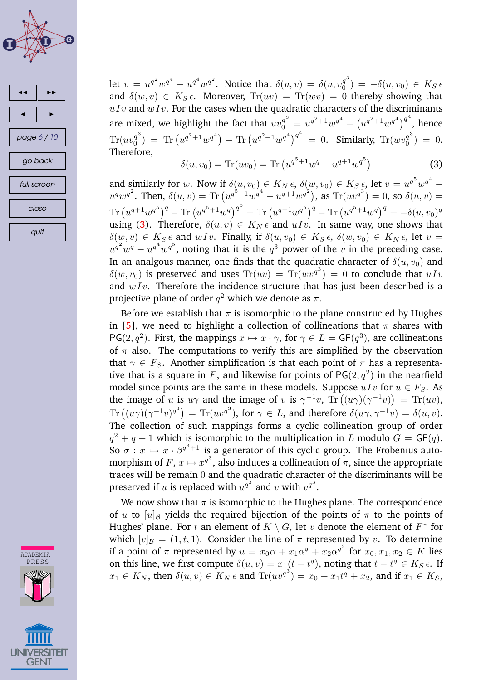





let  $v = u^{q^2}w^{q^4} - u^{q^4}w^{q^2}$ . Notice that  $\delta(u, v) = \delta(u, v_0^{q^3})$  $\begin{array}{c} \binom{q}{0} \end{array} = -\delta(u,v_0) \in K_S \epsilon$ and  $\delta(w, v) \in K_S \epsilon$ . Moreover,  $Tr(uv) = Tr(wv) = 0$  thereby showing that  $uIv$  and  $wIv$ . For the cases when the quadratic characters of the discriminants are mixed, we highlight the fact that  $uv_0^{q^3} = u^{q^2+1}w^{q^4} - \left(u^{q^2+1}w^{q^4}\right)^{q^4}$ , hence  $\text{Tr}(uv_0^{q^3})$  $\int_0^{q^3}$ ) = Tr $\left(u^{q^2+1}w^{q^4}\right)$  – Tr $\left(u^{q^2+1}w^{q^4}\right)^{q^4}$  = 0. Similarly, Tr $(wv_0^{q^3})$  $j_0^q$  ) = 0. Therefore,

$$
\delta(u, v_0) = \text{Tr}(uv_0) = \text{Tr}\left(u^{q^5 + 1}w^q - u^{q+1}w^{q^5}\right)
$$
\n(3)

and similarly for w. Now if  $\delta(u, v_0) \in K_N \epsilon$ ,  $\delta(w, v_0) \in K_S \epsilon$ , let  $v = u^{q^5} w^{q^4}$  –  $u^q w^{q^2}$ . Then,  $\delta(u, v) = \text{Tr}\left(u^{q^5+1} w^{q^4} - u^{q+1} w^{q^2}\right)$ , as  $\text{Tr}(uv^{q^3}) = 0$ , so  $\delta(u, v) = 0$  $\text{Tr}\left(u^{q+1}w^{q^5}\right)^q-\text{Tr}\left(u^{q^5+1}w^q\right)^{q^5}=\text{Tr}\left(u^{q+1}w^{q^5}\right)^q-\text{Tr}\left(u^{q^5+1}w^q\right)^q=-\delta(u,v_0)^q$ using (3). Therefore,  $\delta(u, v) \in K_N \epsilon$  and  $uIv$ . In same way, one shows that  $\delta(w, v) \in K_S \epsilon$  and  $wIv$ . Finally, if  $\delta(u, v_0) \in K_S \epsilon$ ,  $\delta(w, v_0) \in K_N \epsilon$ , let  $v =$  $u^{q^2}w^q - u^{q^4}w^{q^5}$ , noting that it is the  $q^3$  power of the v in the preceding case. In an analgous manner, one finds that the quadratic character of  $\delta(u, v_0)$  and  $\delta(w,v_0)$  is preserved and uses  $\text{Tr}(uv)\,=\, \text{Tr}(w v^{q^3})\,=\,0$  to conclude that  $u\,I\,v$ and  $wIv$ . Therefore the incidence structure that has just been described is a projective plane of order  $q^2$  which we denote as  $\pi.$ 

Before we establish that  $\pi$  is isomorphic to the plane constructed by Hughes in [\[5\]](#page-9-0), we need to highlight a collection of collineations that  $\pi$  shares with PG(2, $q^2$ ). First, the mappings  $x \mapsto x \cdot \gamma$ , for  $\gamma \in L = \mathsf{GF}(q^3)$ , are collineations of  $\pi$  also. The computations to verify this are simplified by the observation that  $\gamma \in F_S$ . Another simplification is that each point of  $\pi$  has a representative that is a square in F, and likewise for points of  $PG(2,q^2)$  in the nearfield model since points are the same in these models. Suppose  $uIv$  for  $u \in F_S$ . As the image of u is  $u\gamma$  and the image of v is  $\gamma^{-1}v$ ,  $\text{Tr}\left((u\gamma)(\gamma^{-1}v)\right) = \text{Tr}(uv)$ ,  $\text{Tr}\left((u\gamma)(\gamma^{-1}v)^{q^3}\right) = \text{Tr}(uv^{q^3}), \text{ for }\gamma\in L, \text{ and therefore }\delta(u\gamma,\gamma^{-1}v) = \delta(u,v).$ The collection of such mappings forms a cyclic collineation group of order  $q^2 + q + 1$  which is isomorphic to the multiplication in L modulo  $G = \mathsf{GF}(q)$ . So  $\sigma: x \mapsto x \cdot \beta^{q^3+1}$  is a generator of this cyclic group. The Frobenius automorphism of  $F$ ,  $x \mapsto x^{q^3}$ , also induces a collineation of  $\pi$ , since the appropriate traces will be remain 0 and the quadratic character of the discriminants will be preserved if  $u$  is replaced with  $u^{q^3}$  and  $v$  with  $v^{q^3}.$ 

We now show that  $\pi$  is isomorphic to the Hughes plane. The correspondence of u to  $[u]_B$  yields the required bijection of the points of  $\pi$  to the points of Hughes' plane. For  $t$  an element of  $K \setminus G$ , let  $v$  denote the element of  $F^*$  for which  $[v]_B = (1, t, 1)$ . Consider the line of  $\pi$  represented by v. To determine if a point of  $\pi$  represented by  $u = x_0 \alpha + x_1 \alpha^q + x_2 \alpha^{q^2}$  for  $x_0, x_1, x_2 \in K$  lies on this line, we first compute  $\delta(u, v) = x_1(t - t^q)$ , noting that  $t - t^q \in K_S \epsilon$ . If  $x_1 \in K_N$ , then  $\delta(u, v) \in K_N \epsilon$  and  $\text{Tr}(uv^{q^3}) = x_0 + x_1t^q + x_2$ , and if  $x_1 \in K_S$ ,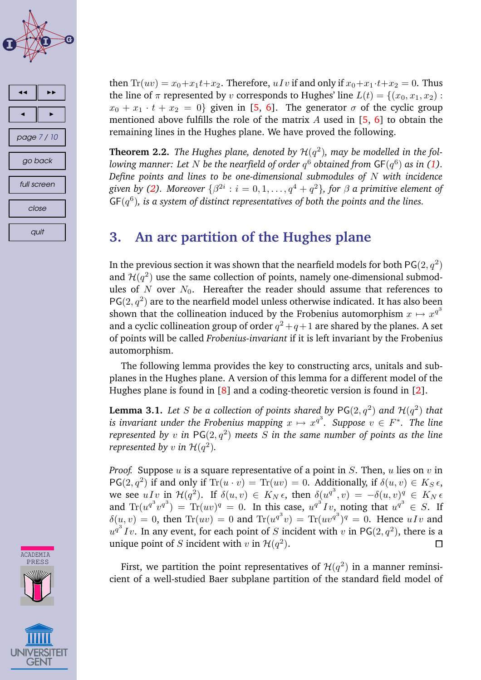<span id="page-6-0"></span>



then  $Tr(uv) = x_0 + x_1t + x_2$ . Therefore, uIv if and only if  $x_0 + x_1 \cdot t + x_2 = 0$ . Thus the line of  $\pi$  represented by v corresponds to Hughes' line  $L(t) = \{(x_0, x_1, x_2):$  $x_0 + x_1 \cdot t + x_2 = 0$  given in [\[5,](#page-9-0) [6\]](#page-9-0). The generator  $\sigma$  of the cyclic group mentioned above fulfills the role of the matrix  $A$  used in  $[5, 6]$  $[5, 6]$  $[5, 6]$  to obtain the remaining lines in the Hughes plane. We have proved the following.

**Theorem 2.2.** The Hughes plane, denoted by  $\mathcal{H}(q^2)$ , may be modelled in the fol $l$ owing manner: Let  $N$  be the nearfield of order  $q^6$  obtained from  $\mathsf{GF}(q^6)$  as in [\(1\)](#page-1-0). *Define points and lines to be one-dimensional submodules of* N *with incidence*  $g$ iven by [\(2\)](#page-3-0). Moreover  $\{\beta^{2i}: i = 0, 1, \ldots, q^4 + q^2\},$  for  $\beta$  a primitive element of GF(q 6 )*, is a system of distinct representatives of both the points and the lines.*

# **3. An arc partition of the Hughes plane**

In the previous section it was shown that the nearfield models for both PG $(2,q^2)$ and  $\mathcal{H}(q^2)$  use the same collection of points, namely one-dimensional submodules of  $N$  over  $N_0$ . Hereafter the reader should assume that references to  $PG(2, q^2)$  are to the nearfield model unless otherwise indicated. It has also been shown that the collineation induced by the Frobenius automorphism  $x \mapsto x^{q^3}$ and a cyclic collineation group of order  $q^2+q+1$  are shared by the planes. A set of points will be called *Frobenius-invariant* if it is left invariant by the Frobenius automorphism.

The following lemma provides the key to constructing arcs, unitals and subplanes in the Hughes plane. A version of this lemma for a different model of the Hughes plane is found in [\[8\]](#page-9-0) and a coding-theoretic version is found in [\[2\]](#page-9-0).

**Lemma 3.1.** Let  $S$  be a collection of points shared by  $\mathsf{PG}(2,q^2)$  and  $\mathcal{H}(q^2)$  that  $i$ *s invariant under the Frobenius mapping*  $x \mapsto x^{q^3}$ *. Suppose*  $v \in F^*$ *. The line represented by*  $v$  *in*  $\mathsf{PG}(2,q^2)$  *meets*  $S$  *in the same number of points as the line represented by*  $v$  *in*  $\mathcal{H}(q^2)$ *.* 

*Proof.* Suppose  $u$  is a square representative of a point in  $S$ . Then,  $u$  lies on  $v$  in  $PG(2, q^2)$  if and only if  $Tr(u \cdot v) = Tr(uv) = 0$ . Additionally, if  $\delta(u, v) \in K_S \epsilon$ , we see  $uI_v$  in  $\mathcal{H}(q^2)$ . If  $\delta(u,v) \in K_N \epsilon$ , then  $\delta_g(u^{q^3}, v) = -\delta(u,v)^q$   $\in K_N \epsilon$ and  $\text{Tr}(u^{q^3}v^{q^3}) = \text{Tr}(uv)^q = 0$ . In this case,  $u^{q^3}Iv$ , noting that  $u^{q^3} \in S$ . If  $\delta(u, v) = 0$ , then  $\text{Tr}(uv) = 0$  and  $\text{Tr}(u^{q^3}v) = \text{Tr}(uv^{q^3})^q = 0$ . Hence  $uIv$  and  $u^{q^3}Iv.$  In any event, for each point of  $S$  incident with  $v$  in PG(2,  $q^2$ ), there is a unique point of S incident with  $v$  in  $\mathcal{H}(q^2)$ .  $\Box$ 

First, we partition the point representatives of  $\mathcal{H}(q^2)$  in a manner reminsicient of a well-studied Baer subplane partition of the standard field model of

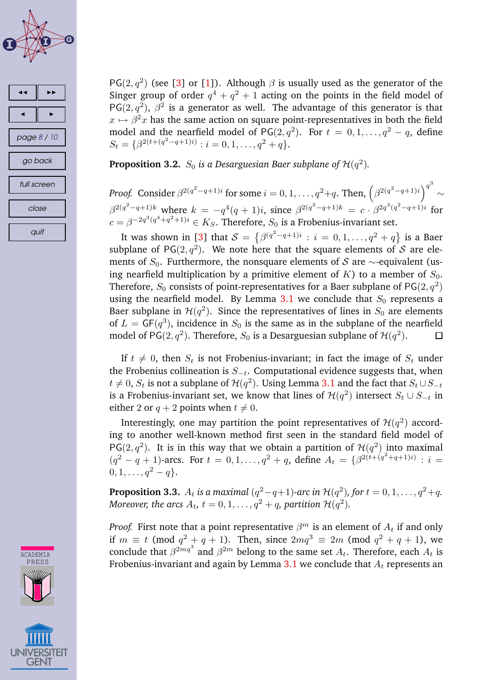



ACADEMIA PRESS

PG(2,  $q^2$ ) (see [\[3\]](#page-9-0) or [\[1\]](#page-9-0)). Although  $\beta$  is usually used as the generator of the Singer group of order  $q^4 + q^2 + 1$  acting on the points in the field model of PG(2, $q^2$ ),  $\beta^2$  is a generator as well. The advantage of this generator is that  $x \mapsto \beta^2 x$  has the same action on square point-representatives in both the field model and the nearfield model of PG(2,  $q^2$ ). For  $t = 0, 1, ..., q^2 - q$ , define  $S_t = \{\beta^{2(t+(q^2-q+1)i)} : i = 0, 1, \ldots, q^2+q\}.$ 

**Proposition 3.2.**  $S_0$  is a Desarguesian Baer subplane of  $\mathcal{H}(q^2)$ .

*Proof.* Consider  $\beta^{2(q^2-q+1)i}$  for some  $i=0,1,\ldots,q^2+q$ . Then,  $\left(\beta^{2(q^2-q+1)i}\right)^{q^3}$  $\sim$  $\beta^{2(q^2-q+1)k}$  where  $k = -q^4(q+1)i$ , since  $\beta^{2(q^2-q+1)k} = c \cdot \beta^{2q^3(q^2-q+1)i}$  for  $c = \beta^{-2q^3(q^4+q^2+1)i} \in K_S$ . Therefore,  $S_0$  is a Frobenius-invariant set.

It was shown in [\[3\]](#page-9-0) that  $\mathcal{S} = \left\{ \beta^{(q^2-q+1)i} : i = 0, 1, \ldots, q^2+q \right\}$  is a Baer subplane of PG(2, $q^2$ ). We note here that the square elements of S are elements of  $S_0$ . Furthermore, the nonsquare elements of S are ∼-equivalent (using nearfield multiplication by a primitive element of  $K$ ) to a member of  $S_0$ . Therefore,  $S_0$  consists of point-representatives for a Baer subplane of  $\mathsf{PG}(2,q^2)$ using the nearfield model. By Lemma [3.1](#page-6-0) we conclude that  $S_0$  represents a Baer subplane in  $\mathcal{H}(q^2)$ . Since the representatives of lines in  $S_0$  are elements of  $L = \mathsf{GF}(q^3)$ , incidence in  $S_0$  is the same as in the subplane of the nearfield model of PG $(2,q^2)$ . Therefore,  $S_0$  is a Desarguesian subplane of  $\mathcal{H}(q^2)$ .  $\Box$ 

If  $t \neq 0$ , then  $S_t$  is not Frobenius-invariant; in fact the image of  $S_t$  under the Frobenius collineation is  $S_{-t}$ . Computational evidence suggests that, when  $t \neq 0,$   $S_t$  is not a subplane of  $\mathcal{H}(q^2)$ . Using Lemma [3.1](#page-6-0) and the fact that  $S_t \cup S_{-t}$ is a Frobenius-invariant set, we know that lines of  $\mathcal{H}(q^2)$  intersect  $S_t\cup S_{-t}$  in either 2 or  $q + 2$  points when  $t \neq 0$ .

Interestingly, one may partition the point representatives of  $\mathcal{H}(q^2)$  according to another well-known method first seen in the standard field model of PG(2,  $q^2$ ). It is in this way that we obtain a partition of  $\mathcal{H}(q^2)$  into maximal  $(q^2 - q + 1)$ -arcs. For  $t = 0, 1, ..., q^2 + q$ , define  $A_t = \{ \beta^{2(t + (q^2 + q + 1)i)} : i =$  $0, 1, \ldots, q^2 - q$ .

**Proposition 3.3.**  $A_t$  is a maximal  $(q^2 - q + 1)$ -arc in  $\mathcal{H}(q^2)$ , for  $t = 0, 1, \ldots, q^2 + q$ . *Moreover, the arcs*  $A_t$ ,  $t = 0, 1, \ldots, q^2 + q$ , partition  $\mathcal{H}(q^2)$ .

*Proof.* First note that a point representative  $\beta^m$  is an element of  $A_t$  if and only if  $m \equiv t \pmod{q^2 + q + 1}$ . Then, since  $2mq^3 \equiv 2m \pmod{q^2 + q + 1}$ , we conclude that  $\beta^{2mq^3}$  and  $\beta^{2m}$  belong to the same set  $A_t.$  Therefore, each  $A_t$  is Frobenius-invariant and again by Lemma [3.1](#page-6-0) we conclude that  $A_t$  represents an

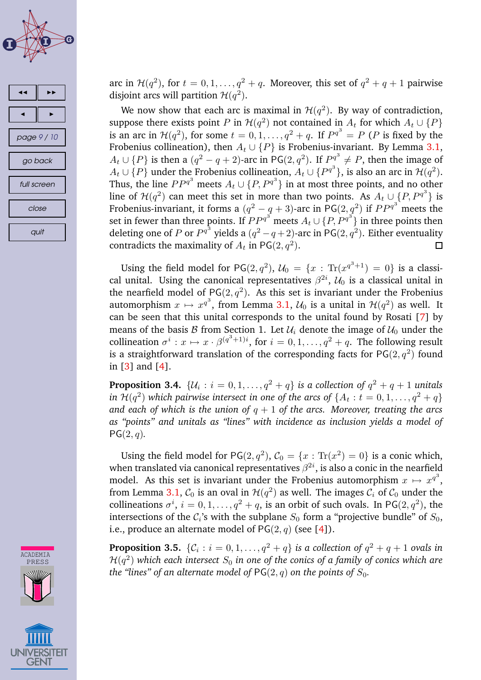





arc in  $\mathcal{H}(q^2)$ , for  $t=0,1,\ldots,q^2+q.$  Moreover, this set of  $q^2+q+1$  pairwise disjoint arcs will partition  $\mathcal{H}(q^2)$ .

We now show that each arc is maximal in  $\mathcal{H}(q^2)$ . By way of contradiction, suppose there exists point P in  $\mathcal{H}(q^2)$  not contained in  $A_t$  for which  $A_t \cup \{P\}$ is an arc in  $\mathcal{H}(q^2)$ , for some  $t = 0, 1, ..., q^2 + q$ . If  $P^{q^3} = P$  (P is fixed by the Frobenius collineation), then  $A_t \cup \{P\}$  is Frobenius-invariant. By Lemma [3.1,](#page-6-0)  $A_t \cup \{P\}$  is then a  $(q^2 - q + 2)$ -arc in PG(2,  $q^2$ ). If  $P_3^{q^3} \neq P$ , then the image of  $A_t \cup \{P\}$  under the Frobenius collineation,  $A_t \cup \{P^{q^3}\}\$ , is also an arc in  $\mathcal{H}(q^2)$ . Thus, the line  $PP^{q^3}$  meets  $A_t \cup \{P, P^{q^3}\}\$ in at most three points, and no other line of  $\mathcal{H}(q^2)$  can meet this set in more than two points. As  $A_t \cup {}_{3} \{P, P^{q^3}\}\)$  is Frobenius-invariant, it forms a  $(q^2-q+3)$ -arc in PG $(2,q^2)$  if  $PP^{q^3}$  meets the set in fewer than three points. If  $PP^{q^3}$  meets  $A_t\cup \{P,P^{q^3}\}$  in three points then deleting one of  $P$  or  $P^{q^3}$  yields a  $(q^2-q+2)$ -arc in  $\mathsf{PG}(2,q^2).$  Either eventuality contradicts the maximality of  $A_t$  in PG $(2,q^2)$ .  $\Box$ 

Using the field model for PG(2,  $q^2$ ),  $\mathcal{U}_0 = \{x : \text{Tr}(x^{q^3+1}) = 0\}$  is a classical unital. Using the canonical representatives  $\beta^{2i}$ ,  $\mathcal{U}_0$  is a classical unital in the nearfield model of PG $(2, q^2)$ . As this set is invariant under the Frobenius automorphism  $x \mapsto x^{q^3}$ , from Lemma [3.1,](#page-6-0)  $\mathcal{U}_0$  is a unital in  $\mathcal{H}(q^2)$  as well. It can be seen that this unital corresponds to the unital found by Rosati [\[7\]](#page-9-0) by means of the basis  $\mathcal B$  from Section 1. Let  $\mathcal U_i$  denote the image of  $\mathcal U_0$  under the collineation  $\sigma^i: x \mapsto x \cdot \beta^{(q^3+1)i}$ , for  $i = 0, 1, ..., q^2 + q$ . The following result is a straightforward translation of the corresponding facts for  $\mathsf{PG}(2,q^2)$  found in [\[3\]](#page-9-0) and [\[4\]](#page-9-0).

**Proposition 3.4.**  $\{\mathcal{U}_i : i = 0, 1, \ldots, q^2 + q\}$  *is a collection of*  $q^2 + q + 1$  *unitals in*  $\mathcal{H}(q^2)$  *which pairwise intersect in one of the arcs of*  $\{A_t : t = 0, 1, \ldots, q^2 + q\}$ *and* each of which is the union of  $q + 1$  of the arcs. Moreover, treating the arcs *as "points" and unitals as "lines" with incidence as inclusion yields a model of*  $PG(2, q)$ .

Using the field model for PG(2,  $q^2$ ),  $C_0 = \{x : \text{Tr}(x^2) = 0\}$  is a conic which, when translated via canonical representatives  $\beta^{2i}$ , is also a conic in the nearfield model. As this set is invariant under the Frobenius automorphism  $x \mapsto x^{q^3}$ , from Lemma [3.1,](#page-6-0)  $\mathcal{C}_0$  is an oval in  $\mathcal{H}(q^2)$  as well. The images  $\mathcal{C}_i$  of  $\mathcal{C}_0$  under the collineations  $\sigma^i$ ,  $i = 0, 1, ..., q^2 + q$ , is an orbit of such ovals. In PG(2,  $q^2$ ), the intersections of the  $C_i$ 's with the subplane  $S_0$  form a "projective bundle" of  $S_0$ , i.e., produce an alternate model of  $PG(2, q)$  (see [\[4\]](#page-9-0)).

**Proposition 3.5.**  $\{\mathcal{C}_i : i = 0, 1, \ldots, q^2 + q\}$  *is a collection of*  $q^2 + q + 1$  *ovals in*  $\mathcal{H}(q^2)$  which each intersect  $S_0$  in one of the conics of a family of conics which are *the "lines" of an alternate model of*  $PG(2, q)$  *on the points of*  $S_0$ *.*